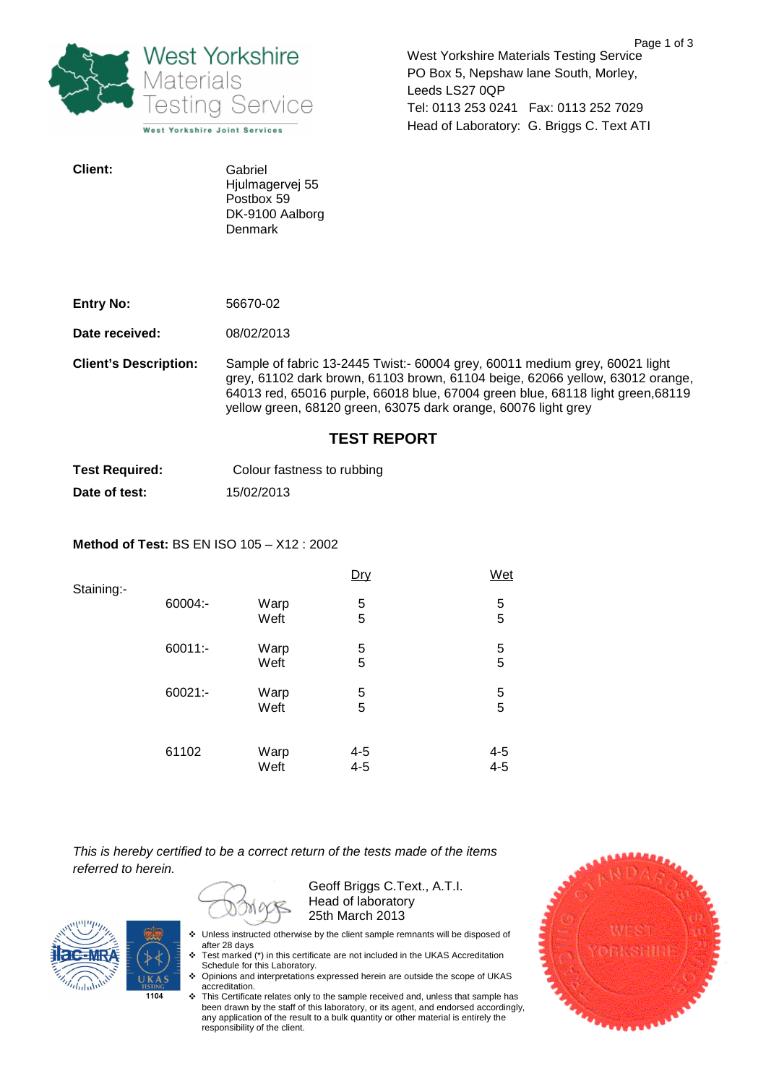

West Yorkshire Materials Testing Service PO Box 5, Nepshaw lane South, Morley, Leeds LS27 0QP Tel: 0113 253 0241 Fax: 0113 252 7029 Head of Laboratory: G. Briggs C. Text ATI

| <b>Client:</b> | Gabriel         |
|----------------|-----------------|
|                | Hjulmagervej 55 |
|                | Postbox 59      |
|                | DK-9100 Aalborg |
|                | Denmark         |

| <b>Entry No:</b> | 56670-02 |
|------------------|----------|
|                  |          |

**Date received:** 08/02/2013

**Client's Description:** Sample of fabric 13-2445 Twist:- 60004 grey, 60011 medium grey, 60021 light grey, 61102 dark brown, 61103 brown, 61104 beige, 62066 yellow, 63012 orange, 64013 red, 65016 purple, 66018 blue, 67004 green blue, 68118 light green,68119 yellow green, 68120 green, 63075 dark orange, 60076 light grey

## **TEST REPORT**

**Test Required:** Colour fastness to rubbing **Date of test:** 15/02/2013

## **Method of Test:** BS EN ISO 105 – X12 : 2002

| Staining:- |         |              | Dry                | Wet           |
|------------|---------|--------------|--------------------|---------------|
|            | 60004:- | Warp<br>Weft | 5<br>5             | $\frac{5}{5}$ |
|            | 60011:- | Warp<br>Weft | 5<br>5             | $\frac{5}{5}$ |
|            | 60021:- | Warp<br>Weft | 5<br>5             | $\frac{5}{5}$ |
|            | 61102   | Warp<br>Weft | $4 - 5$<br>$4 - 5$ | 4-5<br>4-5    |

This is hereby certified to be a correct return of the tests made of the items referred to herein.

Geoff Briggs C.Text., A.T.I. Head of laboratory 25th March 2013



- Unless instructed otherwise by the client sample remnants will be disposed of after 28 days
- ↓ Test marked (\*) in this certificate are not included in the UKAS Accreditation Schedule for this Laboratory.
- Opinions and interpretations expressed herein are outside the scope of UKAS accreditation.
- \* This Certificate relates only to the sample received and, unless that sample has been drawn by the staff of this laboratory, or its agent, and endorsed accordingly, any application of the result to a bulk quantity or other material is entirely the responsibility of the client.

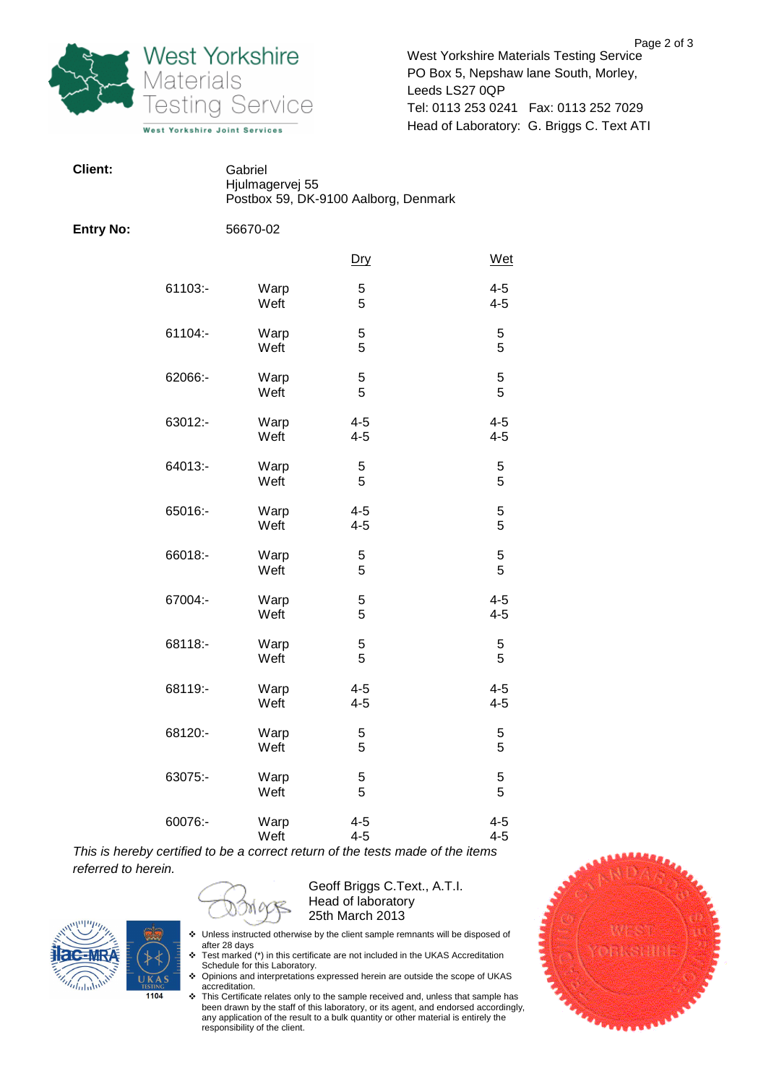

West Yorkshire Materials Testing Service PO Box 5, Nepshaw lane South, Morley, Leeds LS27 0QP Tel: 0113 253 0241 Fax: 0113 252 7029 Head of Laboratory: G. Briggs C. Text ATI

| Client:          |         | Gabriel<br>Hjulmagervej 55<br>Postbox 59, DK-9100 Aalborg, Denmark |                    |                    |
|------------------|---------|--------------------------------------------------------------------|--------------------|--------------------|
| <b>Entry No:</b> |         | 56670-02                                                           |                    |                    |
|                  |         |                                                                    | <u>Dry</u>         | Wet                |
|                  | 61103:- | Warp<br>Weft                                                       | 5<br>5             | $4 - 5$<br>$4 - 5$ |
|                  | 61104:- | Warp<br>Weft                                                       | 5<br>5             | 5<br>5             |
|                  | 62066:- | Warp<br>Weft                                                       | 5<br>5             | 5<br>5             |
|                  | 63012:- | Warp<br>Weft                                                       | $4 - 5$<br>$4 - 5$ | $4 - 5$<br>$4 - 5$ |
|                  | 64013:- | Warp<br>Weft                                                       | 5<br>5             | 5<br>5             |
|                  | 65016:- | Warp<br>Weft                                                       | $4 - 5$<br>$4 - 5$ | 5<br>5             |
|                  | 66018:- | Warp<br>Weft                                                       | 5<br>5             | 5<br>5             |
|                  | 67004:- | Warp<br>Weft                                                       | 5<br>5             | $4 - 5$<br>$4 - 5$ |
|                  | 68118:- | Warp<br>Weft                                                       | 5<br>5             | 5<br>5             |
|                  | 68119:- | Warp<br>Weft                                                       | $4 - 5$<br>$4 - 5$ | $4 - 5$<br>$4 - 5$ |
|                  | 68120:- | Warp<br>Weft                                                       | 5<br>5             | 5<br>5             |
|                  | 63075:- | Warp<br>Weft                                                       | 5<br>5             | 5<br>5             |
|                  | 60076:- | Warp<br>Weft                                                       | $4 - 5$<br>$4 - 5$ | $4 - 5$<br>$4 - 5$ |

This is hereby certified to be a correct return of the tests made of the items referred to herein.

MO



Geoff Briggs C.Text., A.T.I. Head of laboratory 25th March 2013

- Unless instructed otherwise by the client sample remnants will be disposed of after 28 days
- the E5 days<br>
★ Test marked (\*) in this certificate are not included in the UKAS Accreditation Schedule for this Laboratory. Opinions and interpretations expressed herein are outside the scope of UKAS
- accreditation.
- \* This Certificate relates only to the sample received and, unless that sample has been drawn by the staff of this laboratory, or its agent, and endorsed accordingly, any application of the result to a bulk quantity or other material is entirely the responsibility of the client.